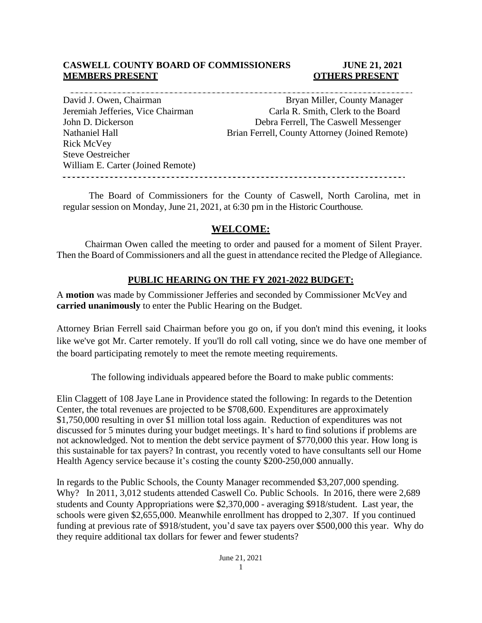### **CASWELL COUNTY BOARD OF COMMISSIONERS JUNE 21, 2021 MEMBERS PRESENT OTHERS PRESENT**

Rick McVey Steve Oestreicher

David J. Owen, Chairman Bryan Miller, County Manager Jeremiah Jefferies, Vice Chairman Carla R. Smith, Clerk to the Board John D. Dickerson **Debra Ferrell**, The Caswell Messenger Nathaniel Hall Brian Ferrell, County Attorney (Joined Remote)

William E. Carter (Joined Remote)

The Board of Commissioners for the County of Caswell, North Carolina, met in regular session on Monday, June 21, 2021, at 6:30 pm in the Historic Courthouse.

# **WELCOME:**

Chairman Owen called the meeting to order and paused for a moment of Silent Prayer. Then the Board of Commissioners and all the guest in attendance recited the Pledge of Allegiance.

### **PUBLIC HEARING ON THE FY 2021-2022 BUDGET:**

A **motion** was made by Commissioner Jefferies and seconded by Commissioner McVey and **carried unanimously** to enter the Public Hearing on the Budget.

Attorney Brian Ferrell said Chairman before you go on, if you don't mind this evening, it looks like we've got Mr. Carter remotely. If you'll do roll call voting, since we do have one member of the board participating remotely to meet the remote meeting requirements.

The following individuals appeared before the Board to make public comments:

Elin Claggett of 108 Jaye Lane in Providence stated the following: In regards to the Detention Center, the total revenues are projected to be \$708,600. Expenditures are approximately \$1,750,000 resulting in over \$1 million total loss again. Reduction of expenditures was not discussed for 5 minutes during your budget meetings. It's hard to find solutions if problems are not acknowledged. Not to mention the debt service payment of \$770,000 this year. How long is this sustainable for tax payers? In contrast, you recently voted to have consultants sell our Home Health Agency service because it's costing the county \$200-250,000 annually.

In regards to the Public Schools, the County Manager recommended \$3,207,000 spending. Why? In 2011, 3,012 students attended Caswell Co. Public Schools. In 2016, there were 2,689 students and County Appropriations were \$2,370,000 - averaging \$918/student. Last year, the schools were given \$2,655,000. Meanwhile enrollment has dropped to 2,307. If you continued funding at previous rate of \$918/student, you'd save tax payers over \$500,000 this year. Why do they require additional tax dollars for fewer and fewer students?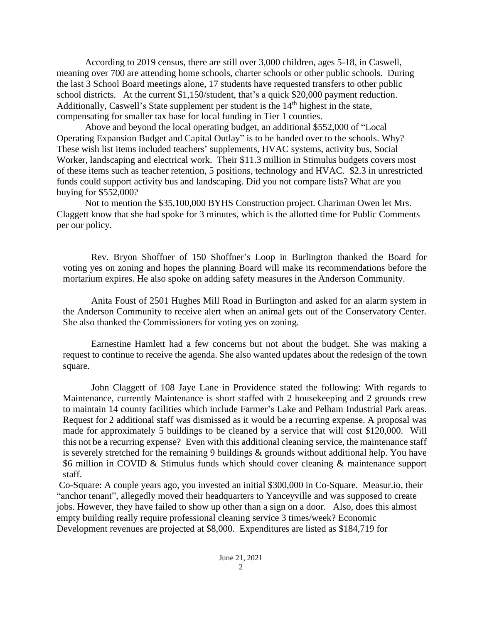According to 2019 census, there are still over 3,000 children, ages 5-18, in Caswell, meaning over 700 are attending home schools, charter schools or other public schools. During the last 3 School Board meetings alone, 17 students have requested transfers to other public school districts. At the current \$1,150/student, that's a quick \$20,000 payment reduction. Additionally, Caswell's State supplement per student is the 14<sup>th</sup> highest in the state, compensating for smaller tax base for local funding in Tier 1 counties.

Above and beyond the local operating budget, an additional \$552,000 of "Local Operating Expansion Budget and Capital Outlay" is to be handed over to the schools. Why? These wish list items included teachers' supplements, HVAC systems, activity bus, Social Worker, landscaping and electrical work. Their \$11.3 million in Stimulus budgets covers most of these items such as teacher retention, 5 positions, technology and HVAC. \$2.3 in unrestricted funds could support activity bus and landscaping. Did you not compare lists? What are you buying for \$552,000?

Not to mention the \$35,100,000 BYHS Construction project. Chariman Owen let Mrs. Claggett know that she had spoke for 3 minutes, which is the allotted time for Public Comments per our policy.

Rev. Bryon Shoffner of 150 Shoffner's Loop in Burlington thanked the Board for voting yes on zoning and hopes the planning Board will make its recommendations before the mortarium expires. He also spoke on adding safety measures in the Anderson Community.

Anita Foust of 2501 Hughes Mill Road in Burlington and asked for an alarm system in the Anderson Community to receive alert when an animal gets out of the Conservatory Center. She also thanked the Commissioners for voting yes on zoning.

Earnestine Hamlett had a few concerns but not about the budget. She was making a request to continue to receive the agenda. She also wanted updates about the redesign of the town square.

John Claggett of 108 Jaye Lane in Providence stated the following: With regards to Maintenance, currently Maintenance is short staffed with 2 housekeeping and 2 grounds crew to maintain 14 county facilities which include Farmer's Lake and Pelham Industrial Park areas. Request for 2 additional staff was dismissed as it would be a recurring expense. A proposal was made for approximately 5 buildings to be cleaned by a service that will cost \$120,000. Will this not be a recurring expense? Even with this additional cleaning service, the maintenance staff is severely stretched for the remaining 9 buildings & grounds without additional help. You have \$6 million in COVID & Stimulus funds which should cover cleaning & maintenance support staff.

Co-Square: A couple years ago, you invested an initial \$300,000 in Co-Square. Measur.io, their "anchor tenant", allegedly moved their headquarters to Yanceyville and was supposed to create jobs. However, they have failed to show up other than a sign on a door. Also, does this almost empty building really require professional cleaning service 3 times/week? Economic Development revenues are projected at \$8,000. Expenditures are listed as \$184,719 for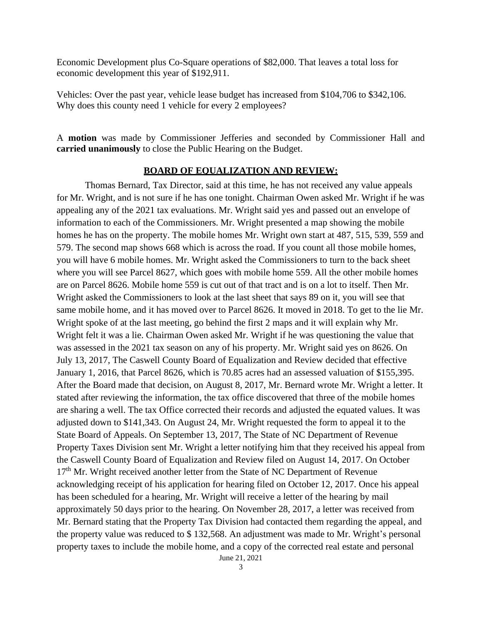Economic Development plus Co-Square operations of \$82,000. That leaves a total loss for economic development this year of \$192,911.

Vehicles: Over the past year, vehicle lease budget has increased from \$104,706 to \$342,106. Why does this county need 1 vehicle for every 2 employees?

A **motion** was made by Commissioner Jefferies and seconded by Commissioner Hall and **carried unanimously** to close the Public Hearing on the Budget.

#### **BOARD OF EQUALIZATION AND REVIEW:**

Thomas Bernard, Tax Director, said at this time, he has not received any value appeals for Mr. Wright, and is not sure if he has one tonight. Chairman Owen asked Mr. Wright if he was appealing any of the 2021 tax evaluations. Mr. Wright said yes and passed out an envelope of information to each of the Commissioners. Mr. Wright presented a map showing the mobile homes he has on the property. The mobile homes Mr. Wright own start at 487, 515, 539, 559 and 579. The second map shows 668 which is across the road. If you count all those mobile homes, you will have 6 mobile homes. Mr. Wright asked the Commissioners to turn to the back sheet where you will see Parcel 8627, which goes with mobile home 559. All the other mobile homes are on Parcel 8626. Mobile home 559 is cut out of that tract and is on a lot to itself. Then Mr. Wright asked the Commissioners to look at the last sheet that says 89 on it, you will see that same mobile home, and it has moved over to Parcel 8626. It moved in 2018. To get to the lie Mr. Wright spoke of at the last meeting, go behind the first 2 maps and it will explain why Mr. Wright felt it was a lie. Chairman Owen asked Mr. Wright if he was questioning the value that was assessed in the 2021 tax season on any of his property. Mr. Wright said yes on 8626. On July 13, 2017, The Caswell County Board of Equalization and Review decided that effective January 1, 2016, that Parcel 8626, which is 70.85 acres had an assessed valuation of \$155,395. After the Board made that decision, on August 8, 2017, Mr. Bernard wrote Mr. Wright a letter. It stated after reviewing the information, the tax office discovered that three of the mobile homes are sharing a well. The tax Office corrected their records and adjusted the equated values. It was adjusted down to \$141,343. On August 24, Mr. Wright requested the form to appeal it to the State Board of Appeals. On September 13, 2017, The State of NC Department of Revenue Property Taxes Division sent Mr. Wright a letter notifying him that they received his appeal from the Caswell County Board of Equalization and Review filed on August 14, 2017. On October 17<sup>th</sup> Mr. Wright received another letter from the State of NC Department of Revenue acknowledging receipt of his application for hearing filed on October 12, 2017. Once his appeal has been scheduled for a hearing, Mr. Wright will receive a letter of the hearing by mail approximately 50 days prior to the hearing. On November 28, 2017, a letter was received from Mr. Bernard stating that the Property Tax Division had contacted them regarding the appeal, and the property value was reduced to \$ 132,568. An adjustment was made to Mr. Wright's personal property taxes to include the mobile home, and a copy of the corrected real estate and personal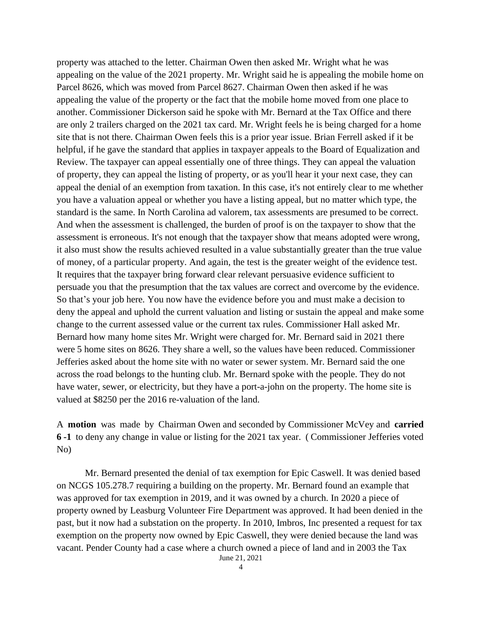property was attached to the letter. Chairman Owen then asked Mr. Wright what he was appealing on the value of the 2021 property. Mr. Wright said he is appealing the mobile home on Parcel 8626, which was moved from Parcel 8627. Chairman Owen then asked if he was appealing the value of the property or the fact that the mobile home moved from one place to another. Commissioner Dickerson said he spoke with Mr. Bernard at the Tax Office and there are only 2 trailers charged on the 2021 tax card. Mr. Wright feels he is being charged for a home site that is not there. Chairman Owen feels this is a prior year issue. Brian Ferrell asked if it be helpful, if he gave the standard that applies in taxpayer appeals to the Board of Equalization and Review. The taxpayer can appeal essentially one of three things. They can appeal the valuation of property, they can appeal the listing of property, or as you'll hear it your next case, they can appeal the denial of an exemption from taxation. In this case, it's not entirely clear to me whether you have a valuation appeal or whether you have a listing appeal, but no matter which type, the standard is the same. In North Carolina ad valorem, tax assessments are presumed to be correct. And when the assessment is challenged, the burden of proof is on the taxpayer to show that the assessment is erroneous. It's not enough that the taxpayer show that means adopted were wrong, it also must show the results achieved resulted in a value substantially greater than the true value of money, of a particular property. And again, the test is the greater weight of the evidence test. It requires that the taxpayer bring forward clear relevant persuasive evidence sufficient to persuade you that the presumption that the tax values are correct and overcome by the evidence. So that's your job here. You now have the evidence before you and must make a decision to deny the appeal and uphold the current valuation and listing or sustain the appeal and make some change to the current assessed value or the current tax rules. Commissioner Hall asked Mr. Bernard how many home sites Mr. Wright were charged for. Mr. Bernard said in 2021 there were 5 home sites on 8626. They share a well, so the values have been reduced. Commissioner Jefferies asked about the home site with no water or sewer system. Mr. Bernard said the one across the road belongs to the hunting club. Mr. Bernard spoke with the people. They do not have water, sewer, or electricity, but they have a port-a-john on the property. The home site is valued at \$8250 per the 2016 re-valuation of the land.

A **motion** was made by Chairman Owen and seconded by Commissioner McVey and **carried 6 -1** to deny any change in value or listing for the 2021 tax year. ( Commissioner Jefferies voted No)

Mr. Bernard presented the denial of tax exemption for Epic Caswell. It was denied based on NCGS 105.278.7 requiring a building on the property. Mr. Bernard found an example that was approved for tax exemption in 2019, and it was owned by a church. In 2020 a piece of property owned by Leasburg Volunteer Fire Department was approved. It had been denied in the past, but it now had a substation on the property. In 2010, Imbros, Inc presented a request for tax exemption on the property now owned by Epic Caswell, they were denied because the land was vacant. Pender County had a case where a church owned a piece of land and in 2003 the Tax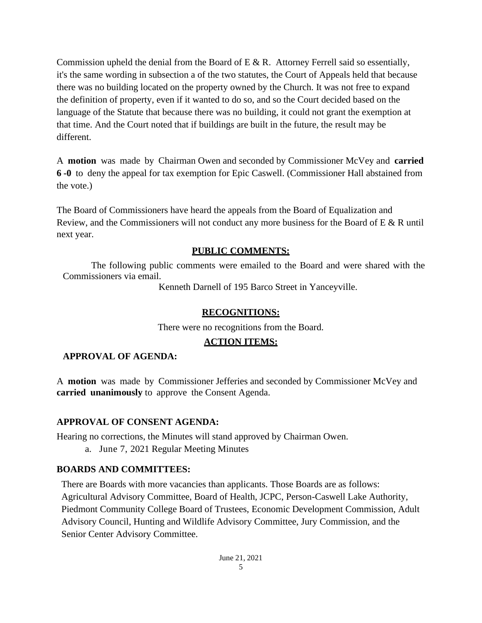Commission upheld the denial from the Board of E  $\&$  R. Attorney Ferrell said so essentially, it's the same wording in subsection a of the two statutes, the Court of Appeals held that because there was no building located on the property owned by the Church. It was not free to expand the definition of property, even if it wanted to do so, and so the Court decided based on the language of the Statute that because there was no building, it could not grant the exemption at that time. And the Court noted that if buildings are built in the future, the result may be different.

A **motion** was made by Chairman Owen and seconded by Commissioner McVey and **carried 6 -0** to deny the appeal for tax exemption for Epic Caswell. (Commissioner Hall abstained from the vote.)

The Board of Commissioners have heard the appeals from the Board of Equalization and Review, and the Commissioners will not conduct any more business for the Board of E & R until next year.

# **PUBLIC COMMENTS:**

The following public comments were emailed to the Board and were shared with the Commissioners via email.

Kenneth Darnell of 195 Barco Street in Yanceyville.

# **RECOGNITIONS:**

There were no recognitions from the Board.

# **ACTION ITEMS:**

# **APPROVAL OF AGENDA:**

A **motion** was made by Commissioner Jefferies and seconded by Commissioner McVey and **carried unanimously** to approve the Consent Agenda.

# **APPROVAL OF CONSENT AGENDA:**

Hearing no corrections, the Minutes will stand approved by Chairman Owen.

a. June 7, 2021 Regular Meeting Minutes

# **BOARDS AND COMMITTEES:**

There are Boards with more vacancies than applicants. Those Boards are as follows: Agricultural Advisory Committee, Board of Health, JCPC, Person-Caswell Lake Authority, Piedmont Community College Board of Trustees, Economic Development Commission, Adult Advisory Council, Hunting and Wildlife Advisory Committee, Jury Commission, and the Senior Center Advisory Committee.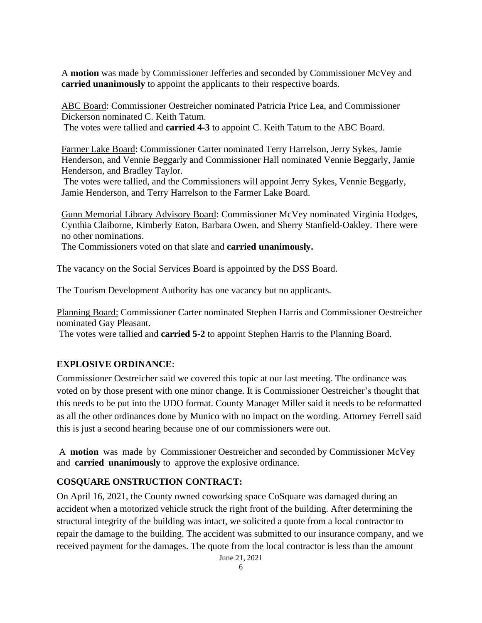A **motion** was made by Commissioner Jefferies and seconded by Commissioner McVey and **carried unanimously** to appoint the applicants to their respective boards.

ABC Board: Commissioner Oestreicher nominated Patricia Price Lea, and Commissioner Dickerson nominated C. Keith Tatum.

The votes were tallied and **carried 4-3** to appoint C. Keith Tatum to the ABC Board.

Farmer Lake Board: Commissioner Carter nominated Terry Harrelson, Jerry Sykes, Jamie Henderson, and Vennie Beggarly and Commissioner Hall nominated Vennie Beggarly, Jamie Henderson, and Bradley Taylor.

The votes were tallied, and the Commissioners will appoint Jerry Sykes, Vennie Beggarly, Jamie Henderson, and Terry Harrelson to the Farmer Lake Board.

Gunn Memorial Library Advisory Board: Commissioner McVey nominated Virginia Hodges, Cynthia Claiborne, Kimberly Eaton, Barbara Owen, and Sherry Stanfield-Oakley. There were no other nominations.

The Commissioners voted on that slate and **carried unanimously.**

The vacancy on the Social Services Board is appointed by the DSS Board.

The Tourism Development Authority has one vacancy but no applicants.

Planning Board: Commissioner Carter nominated Stephen Harris and Commissioner Oestreicher nominated Gay Pleasant.

The votes were tallied and **carried 5-2** to appoint Stephen Harris to the Planning Board.

# **EXPLOSIVE ORDINANCE**:

Commissioner Oestreicher said we covered this topic at our last meeting. The ordinance was voted on by those present with one minor change. It is Commissioner Oestreicher's thought that this needs to be put into the UDO format. County Manager Miller said it needs to be reformatted as all the other ordinances done by Munico with no impact on the wording. Attorney Ferrell said this is just a second hearing because one of our commissioners were out.

A **motion** was made by Commissioner Oestreicher and seconded by Commissioner McVey and **carried unanimously** to approve the explosive ordinance.

# **COSQUARE ONSTRUCTION CONTRACT:**

On April 16, 2021, the County owned coworking space CoSquare was damaged during an accident when a motorized vehicle struck the right front of the building. After determining the structural integrity of the building was intact, we solicited a quote from a local contractor to repair the damage to the building. The accident was submitted to our insurance company, and we received payment for the damages. The quote from the local contractor is less than the amount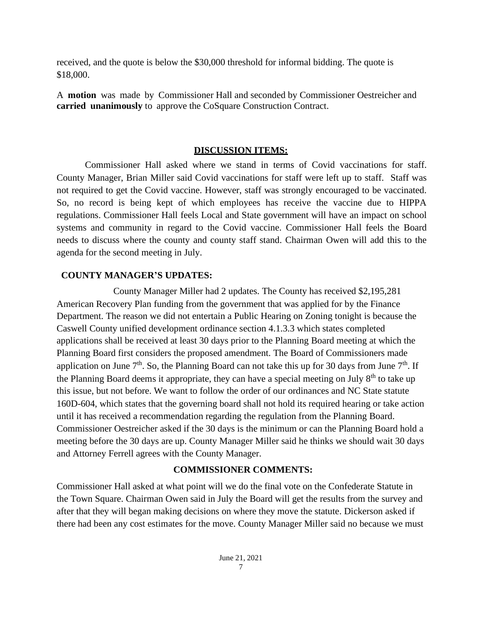received, and the quote is below the \$30,000 threshold for informal bidding. The quote is \$18,000.

A **motion** was made by Commissioner Hall and seconded by Commissioner Oestreicher and **carried unanimously** to approve the CoSquare Construction Contract.

# **DISCUSSION ITEMS:**

Commissioner Hall asked where we stand in terms of Covid vaccinations for staff. County Manager, Brian Miller said Covid vaccinations for staff were left up to staff. Staff was not required to get the Covid vaccine. However, staff was strongly encouraged to be vaccinated. So, no record is being kept of which employees has receive the vaccine due to HIPPA regulations. Commissioner Hall feels Local and State government will have an impact on school systems and community in regard to the Covid vaccine. Commissioner Hall feels the Board needs to discuss where the county and county staff stand. Chairman Owen will add this to the agenda for the second meeting in July.

# **COUNTY MANAGER'S UPDATES:**

County Manager Miller had 2 updates. The County has received \$2,195,281 American Recovery Plan funding from the government that was applied for by the Finance Department. The reason we did not entertain a Public Hearing on Zoning tonight is because the Caswell County unified development ordinance section 4.1.3.3 which states completed applications shall be received at least 30 days prior to the Planning Board meeting at which the Planning Board first considers the proposed amendment. The Board of Commissioners made application on June  $7<sup>th</sup>$ . So, the Planning Board can not take this up for 30 days from June  $7<sup>th</sup>$ . If the Planning Board deems it appropriate, they can have a special meeting on July  $8<sup>th</sup>$  to take up this issue, but not before. We want to follow the order of our ordinances and NC State statute 160D-604, which states that the governing board shall not hold its required hearing or take action until it has received a recommendation regarding the regulation from the Planning Board. Commissioner Oestreicher asked if the 30 days is the minimum or can the Planning Board hold a meeting before the 30 days are up. County Manager Miller said he thinks we should wait 30 days and Attorney Ferrell agrees with the County Manager.

# **COMMISSIONER COMMENTS:**

Commissioner Hall asked at what point will we do the final vote on the Confederate Statute in the Town Square. Chairman Owen said in July the Board will get the results from the survey and after that they will began making decisions on where they move the statute. Dickerson asked if there had been any cost estimates for the move. County Manager Miller said no because we must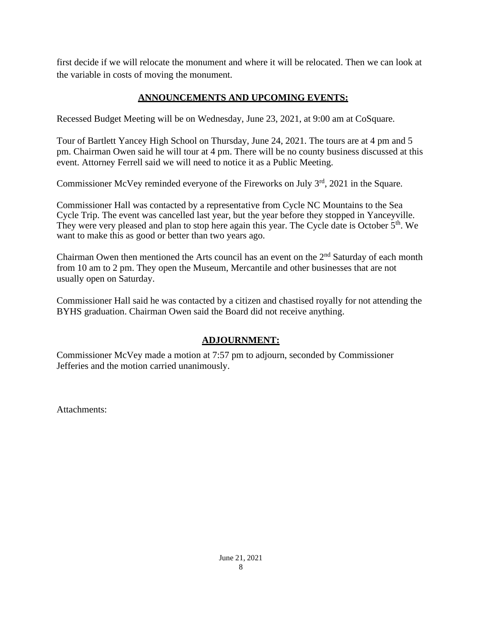first decide if we will relocate the monument and where it will be relocated. Then we can look at the variable in costs of moving the monument.

# **ANNOUNCEMENTS AND UPCOMING EVENTS:**

Recessed Budget Meeting will be on Wednesday, June 23, 2021, at 9:00 am at CoSquare.

Tour of Bartlett Yancey High School on Thursday, June 24, 2021. The tours are at 4 pm and 5 pm. Chairman Owen said he will tour at 4 pm. There will be no county business discussed at this event. Attorney Ferrell said we will need to notice it as a Public Meeting.

Commissioner McVey reminded everyone of the Fireworks on July  $3<sup>rd</sup>$ , 2021 in the Square.

Commissioner Hall was contacted by a representative from Cycle NC Mountains to the Sea Cycle Trip. The event was cancelled last year, but the year before they stopped in Yanceyville. They were very pleased and plan to stop here again this year. The Cycle date is October 5<sup>th</sup>. We want to make this as good or better than two years ago.

Chairman Owen then mentioned the Arts council has an event on the  $2<sup>nd</sup>$  Saturday of each month from 10 am to 2 pm. They open the Museum, Mercantile and other businesses that are not usually open on Saturday.

Commissioner Hall said he was contacted by a citizen and chastised royally for not attending the BYHS graduation. Chairman Owen said the Board did not receive anything.

# **ADJOURNMENT:**

Commissioner McVey made a motion at 7:57 pm to adjourn, seconded by Commissioner Jefferies and the motion carried unanimously.

Attachments: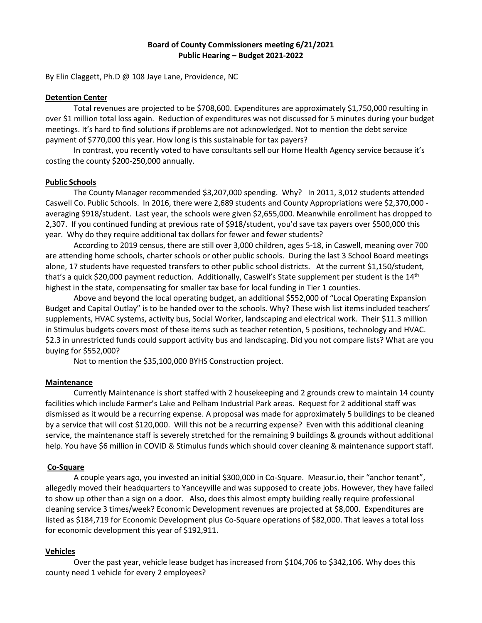#### **Board of County Commissioners meeting 6/21/2021 Public Hearing – Budget 2021-2022**

By Elin Claggett, Ph.D @ 108 Jaye Lane, Providence, NC

#### **Detention Center**

Total revenues are projected to be \$708,600. Expenditures are approximately \$1,750,000 resulting in over \$1 million total loss again. Reduction of expenditures was not discussed for 5 minutes during your budget meetings. It's hard to find solutions if problems are not acknowledged. Not to mention the debt service payment of \$770,000 this year. How long is this sustainable for tax payers?

In contrast, you recently voted to have consultants sell our Home Health Agency service because it's costing the county \$200-250,000 annually.

#### **Public Schools**

The County Manager recommended \$3,207,000 spending. Why? In 2011, 3,012 students attended Caswell Co. Public Schools. In 2016, there were 2,689 students and County Appropriations were \$2,370,000 averaging \$918/student. Last year, the schools were given \$2,655,000. Meanwhile enrollment has dropped to 2,307. If you continued funding at previous rate of \$918/student, you'd save tax payers over \$500,000 this year. Why do they require additional tax dollars for fewer and fewer students?

According to 2019 census, there are still over 3,000 children, ages 5-18, in Caswell, meaning over 700 are attending home schools, charter schools or other public schools. During the last 3 School Board meetings alone, 17 students have requested transfers to other public school districts. At the current \$1,150/student, that's a quick \$20,000 payment reduction. Additionally, Caswell's State supplement per student is the 14<sup>th</sup> highest in the state, compensating for smaller tax base for local funding in Tier 1 counties.

Above and beyond the local operating budget, an additional \$552,000 of "Local Operating Expansion Budget and Capital Outlay" is to be handed over to the schools. Why? These wish list items included teachers' supplements, HVAC systems, activity bus, Social Worker, landscaping and electrical work. Their \$11.3 million in Stimulus budgets covers most of these items such as teacher retention, 5 positions, technology and HVAC. \$2.3 in unrestricted funds could support activity bus and landscaping. Did you not compare lists? What are you buying for \$552,000?

Not to mention the \$35,100,000 BYHS Construction project.

#### **Maintenance**

Currently Maintenance is short staffed with 2 housekeeping and 2 grounds crew to maintain 14 county facilities which include Farmer's Lake and Pelham Industrial Park areas. Request for 2 additional staff was dismissed as it would be a recurring expense. A proposal was made for approximately 5 buildings to be cleaned by a service that will cost \$120,000. Will this not be a recurring expense? Even with this additional cleaning service, the maintenance staff is severely stretched for the remaining 9 buildings & grounds without additional help. You have \$6 million in COVID & Stimulus funds which should cover cleaning & maintenance support staff.

#### **Co-Square**

A couple years ago, you invested an initial \$300,000 in Co-Square. Measur.io, their "anchor tenant", allegedly moved their headquarters to Yanceyville and was supposed to create jobs. However, they have failed to show up other than a sign on a door. Also, does this almost empty building really require professional cleaning service 3 times/week? Economic Development revenues are projected at \$8,000. Expenditures are listed as \$184,719 for Economic Development plus Co-Square operations of \$82,000. That leaves a total loss for economic development this year of \$192,911.

#### **Vehicles**

Over the past year, vehicle lease budget has increased from \$104,706 to \$342,106. Why does this county need 1 vehicle for every 2 employees?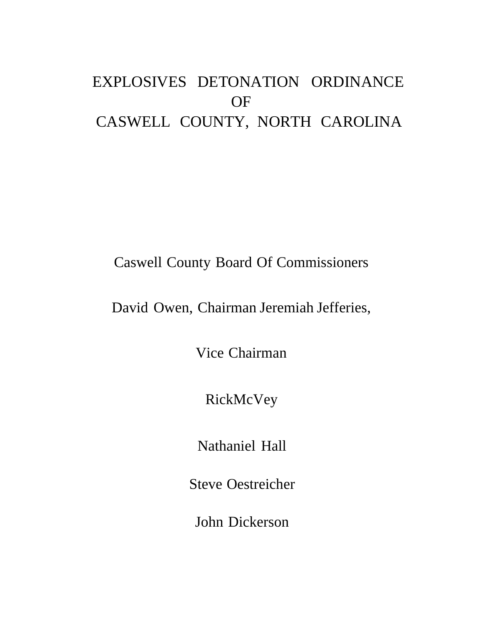# EXPLOSIVES DETONATION ORDINANCE OF CASWELL COUNTY, NORTH CAROLINA

# Caswell County Board Of Commissioners

# David Owen, Chairman Jeremiah Jefferies,

Vice Chairman

RickMcVey

Nathaniel Hall

Steve Oestreicher

John Dickerson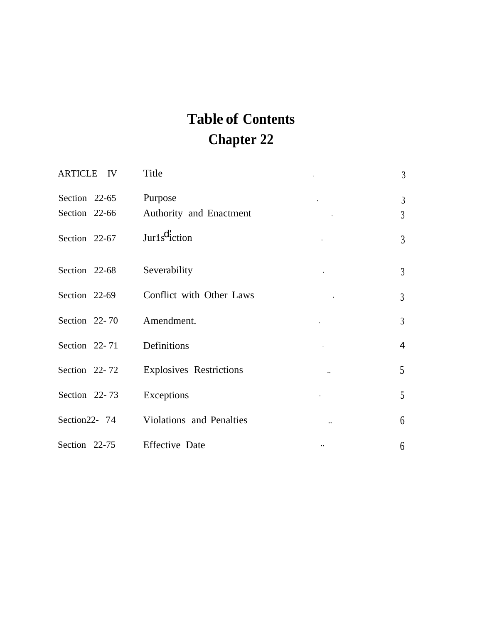# **Table of Contents Chapter 22**

| ARTICLE IV        | Title                          |                      | $\mathfrak{Z}$ |
|-------------------|--------------------------------|----------------------|----------------|
| Section 22-65     | Purpose                        |                      | $\overline{3}$ |
| Section 22-66     | Authority and Enactment        |                      | $\mathfrak{Z}$ |
| Section 22-67     | Jurls <sup>d</sup> iction      |                      | 3              |
| Section 22-68     | Severability                   |                      | $\mathfrak{Z}$ |
| Section 22-69     | Conflict with Other Laws       |                      | $\mathfrak{Z}$ |
| Section 22-70     | Amendment.                     |                      | $\overline{3}$ |
| Section 22-71     | Definitions                    |                      | $\overline{4}$ |
| Section 22-72     | <b>Explosives Restrictions</b> |                      | 5 <sup>5</sup> |
| Section 22-73     | Exceptions                     |                      | 5              |
| Section $22 - 74$ | Violations and Penalties       |                      | 6              |
| Section 22-75     | <b>Effective Date</b>          | $\ddot{\phantom{a}}$ | 6              |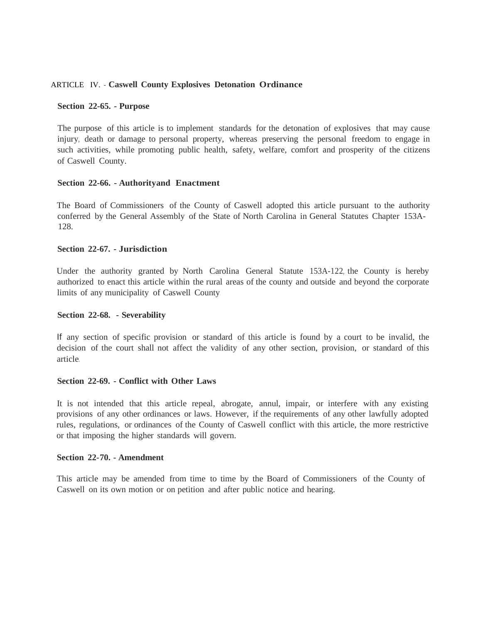#### ARTICLE IV. - **Caswell County Explosives Detonation Ordinance**

#### **Section 22-65. - Purpose**

The purpose of this article is to implement standards for the detonation of explosives that may cause injury, death or damage to personal property, whereas preserving the personal freedom to engage in such activities, while promoting public health, safety, welfare, comfort and prosperity of the citizens of Caswell County.

#### **Section 22-66. - Authorityand Enactment**

The Board of Commissioners of the County of Caswell adopted this article pursuant to the authority conferred by the General Assembly of the State of North Carolina in General Statutes Chapter 153A-128.

#### **Section 22-67. - Jurisdiction**

Under the authority granted by North Carolina General Statute 153A-122, the County is hereby authorized to enact this article within the rural areas of the county and outside and beyond the corporate limits of any municipality of Caswell County.

#### **Section 22-68. - Severability**

If any section of specific provision or standard of this article is found by a court to be invalid, the decision of the court shall not affect the validity of any other section, provision, or standard of this article.

#### **Section 22-69. - Conflict with Other Laws**

It is not intended that this article repeal, abrogate, annul, impair, or interfere with any existing provisions of any other ordinances or laws. However, if the requirements of any other lawfully adopted rules, regulations, or ordinances of the County of Caswell conflict with this article, the more restrictive or that imposing the higher standards will govern.

#### **Section 22-70. - Amendment**

This article may be amended from time to time by the Board of Commissioners of the County of Caswell on its own motion or on petition and after public notice and hearing.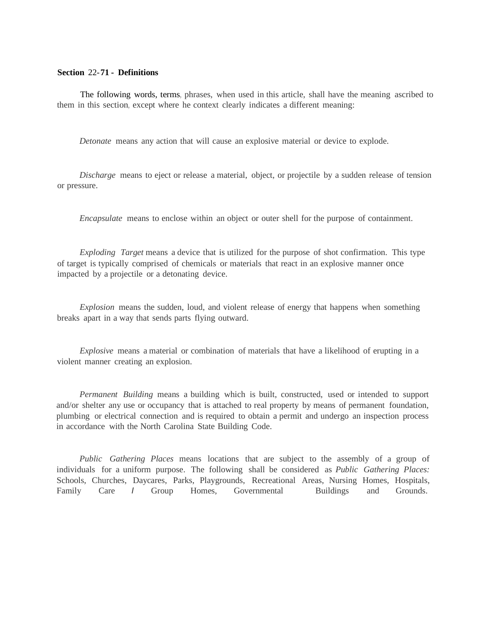#### **Section** 22-**71 - Definitions**

The following words, terms, phrases, when used in this article, shall have the meaning ascribed to them in this section, except where he context clearly indicates a different meaning:

*Detonate* means any action that will cause an explosive material or device to explode.

*Discharge* means to eject or release a material, object, or projectile by a sudden release of tension or pressure.

*Encapsulate* means to enclose within an object or outer shell for the purpose of containment.

*Exploding Target* means a device that is utilized for the purpose of shot confirmation. This type of target is typically comprised of chemicals or materials that react in an explosive manner once impacted by a projectile or a detonating device.

*Explosion* means the sudden, loud, and violent release of energy that happens when something breaks apart in a way that sends parts flying outward.

*Explosive* means a material or combination of materials that have a likelihood of erupting in a violent manner creating an explosion.

*Permanent Building* means a building which is built, constructed, used or intended to support and/or shelter any use or occupancy that is attached to real property by means of permanent foundation, plumbing or electrical connection and is required to obtain a permit and undergo an inspection process in accordance with the North Carolina State Building Code.

*Public Gathering Places* means locations that are subject to the assembly of a group of individuals for a uniform purpose. The following shall be considered as *Public Gathering Places:*  Schools, Churches, Daycares, Parks, Playgrounds, Recreational Areas, Nursing Homes, Hospitals, Family Care *I* Group Homes, Governmental Buildings and Grounds.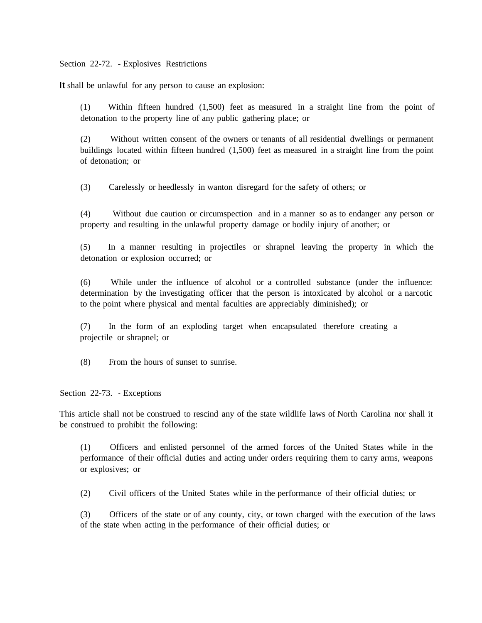Section 22-72. - Explosives Restrictions

It shall be unlawful for any person to cause an explosion:

(1) Within fifteen hundred (1,500) feet as measured in a straight line from the point of detonation to the property line of any public gathering place; or

(2) Without written consent of the owners or tenants of all residential dwellings or permanent buildings located within fifteen hundred (1,500) feet as measured in a straight line from the point of detonation; or

(3) Carelessly or heedlessly in wanton disregard for the safety of others; or

(4) Without due caution or circumspection and in a manner so as to endanger any person or property and resulting in the unlawful property damage or bodily injury of another; or

(5) In a manner resulting in projectiles or shrapnel leaving the property in which the detonation or explosion occurred; or

(6) While under the influence of alcohol or a controlled substance (under the influence: determination by the investigating officer that the person is intoxicated by alcohol or a narcotic to the point where physical and mental faculties are appreciably diminished); or

(7) In the form of an exploding target when encapsulated therefore creating a projectile or shrapnel; or

(8) From the hours of sunset to sunrise.

Section 22-73. - Exceptions

This article shall not be construed to rescind any of the state wildlife laws of North Carolina nor shall it be construed to prohibit the following:

(1) Officers and enlisted personnel of the armed forces of the United States while in the performance of their official duties and acting under orders requiring them to carry arms, weapons or explosives; or

(2) Civil officers of the United States while in the performance of their official duties; or

(3) Officers of the state or of any county, city, or town charged with the execution of the laws of the state when acting in the performance of their official duties; or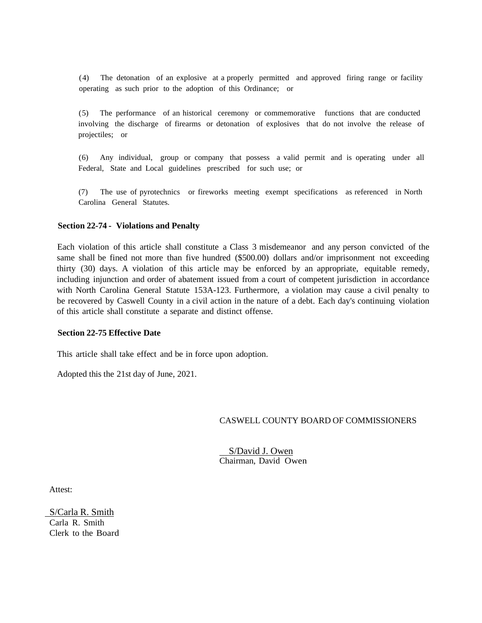(4) The detonation of an explosive at a properly permitted and approved firing range or facility operating as such prior to the adoption of this Ordinance; or

(5) The performance of an historical ceremony or commemorative functions that are conducted involving the discharge of firearms or detonation of explosives that do not involve the release of projectiles; or

(6) Any individual, group or company that possess a valid permit and is operating under all Federal, State and Local guidelines prescribed for such use; or

(7) The use of pyrotechnics or fireworks meeting exempt specifications as referenced in North Carolina General Statutes.

#### **Section 22-74 - Violations and Penalty**

Each violation of this article shall constitute a Class 3 misdemeanor and any person convicted of the same shall be fined not more than five hundred (\$500.00) dollars and/or imprisonment not exceeding thirty (30) days. A violation of this article may be enforced by an appropriate, equitable remedy, including injunction and order of abatement issued from a court of competent jurisdiction in accordance with North Carolina General Statute 153A-123. Furthermore, a violation may cause a civil penalty to be recovered by Caswell County in a civil action in the nature of a debt. Each day's continuing violation of this article shall constitute a separate and distinct offense.

#### **Section 22-75 Effective Date**

This article shall take effect and be in force upon adoption.

Adopted this the 21st day of June, 2021.

#### CASWELL COUNTY BOARD OF COMMISSIONERS

 S/David J. Owen Chairman, David Owen

Attest:

 S/Carla R. Smith Carla R. Smith Clerk to the Board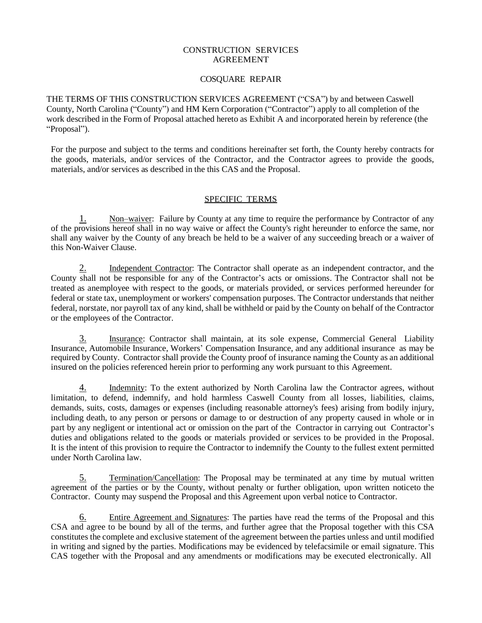#### CONSTRUCTION SERVICES AGREEMENT

#### COSQUARE REPAIR

THE TERMS OF THIS CONSTRUCTION SERVICES AGREEMENT ("CSA") by and between Caswell County, North Carolina ("County") and HM Kern Corporation ("Contractor") apply to all completion of the work described in the Form of Proposal attached hereto as Exhibit A and incorporated herein by reference (the "Proposal").

For the purpose and subject to the terms and conditions hereinafter set forth, the County hereby contracts for the goods, materials, and/or services of the Contractor, and the Contractor agrees to provide the goods, materials, and/or services as described in the this CAS and the Proposal.

### SPECIFIC TERMS

1. Non–waiver: Failure by County at any time to require the performance by Contractor of any of the provisions hereof shall in no way waive or affect the County's right hereunder to enforce the same, nor shall any waiver by the County of any breach be held to be a waiver of any succeeding breach or a waiver of this Non-Waiver Clause.

2. Independent Contractor: The Contractor shall operate as an independent contractor, and the County shall not be responsible for any of the Contractor's acts or omissions. The Contractor shall not be treated as anemployee with respect to the goods, or materials provided, or services performed hereunder for federal or state tax, unemployment or workers' compensation purposes. The Contractor understands that neither federal, norstate, nor payroll tax of any kind, shall be withheld or paid by the County on behalf of the Contractor or the employees of the Contractor.

3. Insurance: Contractor shall maintain, at its sole expense, Commercial General Liability Insurance, Automobile Insurance, Workers' Compensation Insurance, and any additional insurance as may be required by County. Contractor shall provide the County proof of insurance naming the County as an additional insured on the policies referenced herein prior to performing any work pursuant to this Agreement.

4. Indemnity: To the extent authorized by North Carolina law the Contractor agrees, without limitation, to defend, indemnify, and hold harmless Caswell County from all losses, liabilities, claims, demands, suits, costs, damages or expenses (including reasonable attorney's fees) arising from bodily injury, including death, to any person or persons or damage to or destruction of any property caused in whole or in part by any negligent or intentional act or omission on the part of the Contractor in carrying out Contractor's duties and obligations related to the goods or materials provided or services to be provided in the Proposal. It is the intent of this provision to require the Contractor to indemnify the County to the fullest extent permitted under North Carolina law.

5. Termination/Cancellation: The Proposal may be terminated at any time by mutual written agreement of the parties or by the County, without penalty or further obligation, upon written noticeto the Contractor. County may suspend the Proposal and this Agreement upon verbal notice to Contractor.

6. Entire Agreement and Signatures: The parties have read the terms of the Proposal and this CSA and agree to be bound by all of the terms, and further agree that the Proposal together with this CSA constitutes the complete and exclusive statement of the agreement between the parties unless and until modified in writing and signed by the parties. Modifications may be evidenced by telefacsimile or email signature. This CAS together with the Proposal and any amendments or modifications may be executed electronically. All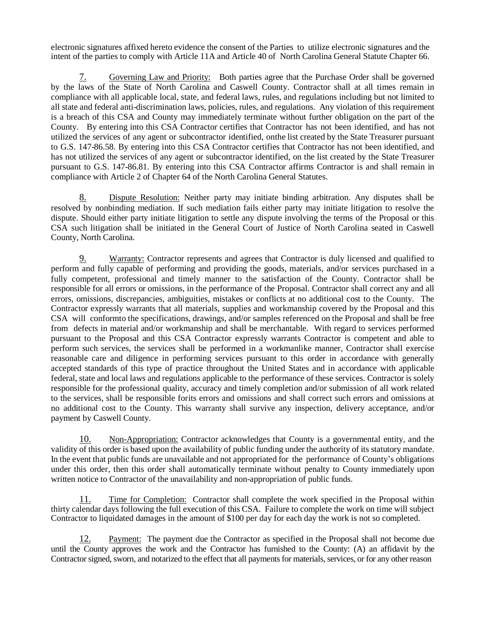electronic signatures affixed hereto evidence the consent of the Parties to utilize electronic signatures and the intent of the parties to comply with Article 11A and Article 40 of North Carolina General Statute Chapter 66.

7. Governing Law and Priority: Both parties agree that the Purchase Order shall be governed by the laws of the State of North Carolina and Caswell County. Contractor shall at all times remain in compliance with all applicable local, state, and federal laws, rules, and regulations including but not limited to all state and federal anti-discrimination laws, policies, rules, and regulations. Any violation of this requirement is a breach of this CSA and County may immediately terminate without further obligation on the part of the County. By entering into this CSA Contractor certifies that Contractor has not been identified, and has not utilized the services of any agent or subcontractor identified, onthe list created by the State Treasurer pursuant to G.S. 147-86.58. By entering into this CSA Contractor certifies that Contractor has not been identified, and has not utilized the services of any agent or subcontractor identified, on the list created by the State Treasurer pursuant to G.S. 147-86.81. By entering into this CSA Contractor affirms Contractor is and shall remain in compliance with Article 2 of Chapter 64 of the North Carolina General Statutes.

8. Dispute Resolution: Neither party may initiate binding arbitration. Any disputes shall be resolved by nonbinding mediation. If such mediation fails either party may initiate litigation to resolve the dispute. Should either party initiate litigation to settle any dispute involving the terms of the Proposal or this CSA such litigation shall be initiated in the General Court of Justice of North Carolina seated in Caswell County, North Carolina.

9. Warranty: Contractor represents and agrees that Contractor is duly licensed and qualified to perform and fully capable of performing and providing the goods, materials, and/or services purchased in a fully competent, professional and timely manner to the satisfaction of the County. Contractor shall be responsible for all errors or omissions, in the performance of the Proposal. Contractor shall correct any and all errors, omissions, discrepancies, ambiguities, mistakes or conflicts at no additional cost to the County. The Contractor expressly warrants that all materials, supplies and workmanship covered by the Proposal and this CSA will conformto the specifications, drawings, and/or samples referenced on the Proposal and shall be free from defects in material and/or workmanship and shall be merchantable. With regard to services performed pursuant to the Proposal and this CSA Contractor expressly warrants Contractor is competent and able to perform such services, the services shall be performed in a workmanlike manner, Contractor shall exercise reasonable care and diligence in performing services pursuant to this order in accordance with generally accepted standards of this type of practice throughout the United States and in accordance with applicable federal, state and local laws and regulations applicable to the performance of these services. Contractor is solely responsible for the professional quality, accuracy and timely completion and/or submission of all work related to the services, shall be responsible forits errors and omissions and shall correct such errors and omissions at no additional cost to the County. This warranty shall survive any inspection, delivery acceptance, and/or payment by Caswell County.

10. Non-Appropriation: Contractor acknowledges that County is a governmental entity, and the validity of this order is based upon the availability of public funding under the authority of its statutory mandate. In the event that public funds are unavailable and not appropriated for the performance of County's obligations under this order, then this order shall automatically terminate without penalty to County immediately upon written notice to Contractor of the unavailability and non-appropriation of public funds.

11. Time for Completion: Contractor shall complete the work specified in the Proposal within thirty calendar days following the full execution of this CSA. Failure to complete the work on time will subject Contractor to liquidated damages in the amount of \$100 per day for each day the work is not so completed.

12. Payment: The payment due the Contractor as specified in the Proposal shall not become due until the County approves the work and the Contractor has furnished to the County: (A) an affidavit by the Contractor signed, sworn, and notarized to the effect that all payments for materials, services, or for any other reason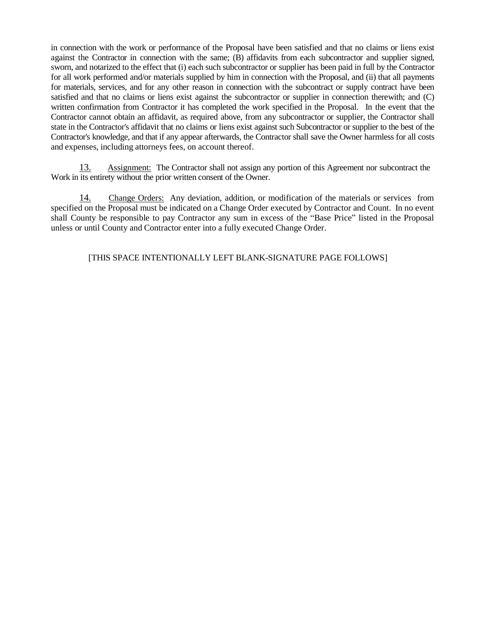in connection with the work or performance of the Proposal have been satisfied and that no claims or liens exist against the Contractor in connection with the same; (B) affidavits from each subcontractor and supplier signed, sworn, and notarized to the effect that (i) each such subcontractor or supplier has been paid in full by the Contractor for all work performed and/or materials supplied by him in connection with the Proposal, and (ii) that all payments for materials, services, and for any other reason in connection with the subcontract or supply contract have been satisfied and that no claims or liens exist against the subcontractor or supplier in connection therewith; and (C) written confirmation from Contractor it has completed the work specified in the Proposal. In the event that the Contractor cannot obtain an affidavit, as required above, from any subcontractor or supplier, the Contractor shall state in the Contractor's affidavit that no claims or liens exist against such Subcontractor or supplier to the best of the Contractor's knowledge, and that if any appear afterwards, the Contractor shall save the Owner harmless for all costs and expenses, including attorneys fees, on account thereof.

13. Assignment: The Contractor shall not assign any portion of this Agreement nor subcontract the Work in its entirety without the prior written consent of the Owner.

14. Change Orders: Any deviation, addition, or modification of the materials or services from specified on the Proposal must be indicated on a Change Order executed by Contractor and Count. In no event shall County be responsible to pay Contractor any sum in excess of the "Base Price" listed in the Proposal unless or until County and Contractor enter into a fully executed Change Order.

[THIS SPACE INTENTIONALLY LEFT BLANK-SIGNATURE PAGE FOLLOWS]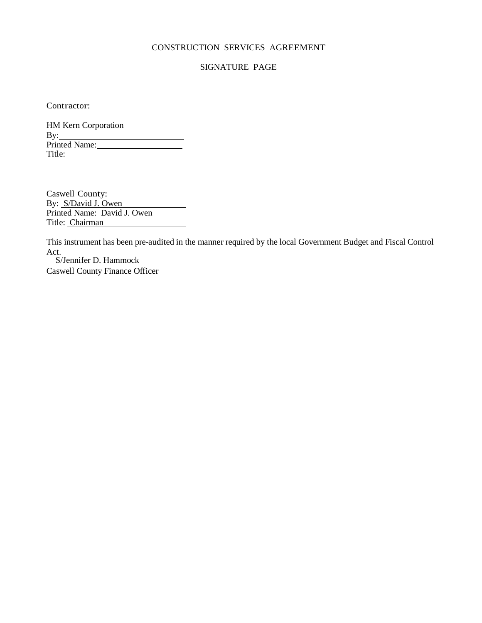#### CONSTRUCTION SERVICES AGREEMENT

#### SIGNATURE PAGE

Contractor:

| HM Kern Corporation |
|---------------------|
| By:                 |
| Printed Name:       |
| Title:              |

Caswell County: By: S/David J. Owen Printed Name: David J. Owen Title: Chairman

This instrument has been pre-audited in the manner required by the local Government Budget and Fiscal Control Act.

S/Jennifer D. Hammock

Caswell County Finance Officer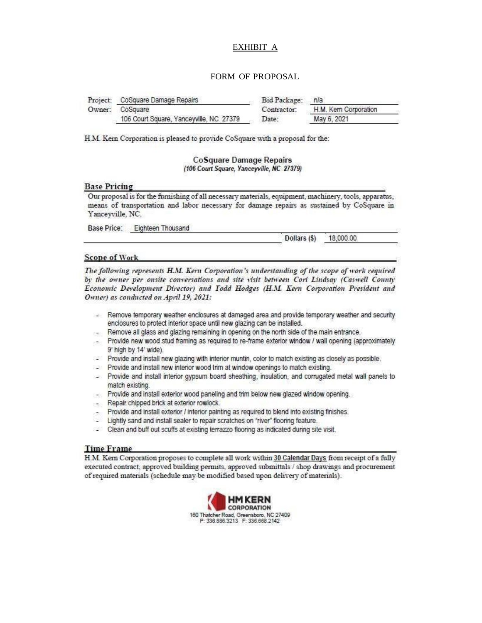#### EXHIBIT A

#### FORM OF PROPOSAL

| Project: CoSquare Damage Repairs        | Bid Package: n/a |                      |
|-----------------------------------------|------------------|----------------------|
| Owner: CoSquare                         | Contractor:      | H.M. Kem Corporation |
| 106 Court Square, Yanceyville, NC 27379 | Date:            | May 6, 2021          |

H.M. Kern Corporation is pleased to provide CoSquare with a proposal for the:

**CoSquare Damage Repairs** (106 Court Square, Yanceyville, NC 27379)

#### **Base Pricing**

Our proposal is for the furnishing of all necessary materials, equipment, machinery, tools, apparatus, means of transportation and labor necessary for damage repairs as sustained by CoSquare in Yanceyville, NC.

Base Price: Eighteen Thousand

Dollars (\$) 18,000.00

#### **Scope of Work**

The following represents H.M. Kern Corporation's understanding of the scope of work required by the owner per onsite conversations and site visit between Cori Lindsay (Caswell County Economic Development Director) and Todd Hodges (H.M. Kern Corporation President and Owner) as conducted on April 19, 2021:

- Remove temporary weather enclosures at damaged area and provide temporary weather and security enclosures to protect interior space until new glazing can be installed.
- Remove all glass and glazing remaining in opening on the north side of the main entrance. 30
- Provide new wood stud framing as required to re-frame exterior window / wall opening (approximately 9' high by 14' wide).
- Provide and install new glazing with interior muntin, color to match existing as closely as possible.
- Provide and install new interior wood trim at window openings to match existing.
- Provide and install interior gypsum board sheathing, insulation, and corrugated metal wall panels to match existing.
- Provide and install exterior wood paneling and trim below new glazed window opening.
- Repair chipped brick at exterior rowlock.
- Provide and install exterior / interior painting as required to blend into existing finishes.
- Lightly sand and install sealer to repair scratches on "river" flooring feature.
- Clean and buff out scuffs at existing terrazzo flooring as indicated during site visit.

#### **Time Frame**

H.M. Kern Corporation proposes to complete all work within 30 Calendar Days from receipt of a fully executed contract, approved building permits, approved submittals / shop drawings and procurement of required materials (schedule may be modified based upon delivery of materials).